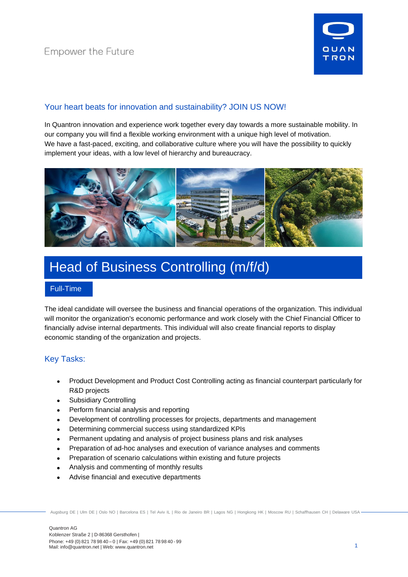

# Your heart beats for innovation and sustainability? JOIN US NOW!

In Quantron innovation and experience work together every day towards a more sustainable mobility. In our company you will find a flexible working environment with a unique high level of motivation. We have a fast-paced, exciting, and collaborative culture where you will have the possibility to quickly implement your ideas, with a low level of hierarchy and bureaucracy.



# Head of Business Controlling (m/f/d)

### Full-Time

The ideal candidate will oversee the business and financial operations of the organization. This individual will monitor the organization's economic performance and work closely with the Chief Financial Officer to financially advise internal departments. This individual will also create financial reports to display economic standing of the organization and projects.

## Key Tasks:

- Product Development and Product Cost Controlling acting as financial counterpart particularly for R&D projects
- Subsidiary Controlling
- Perform financial analysis and reporting
- Development of controlling processes for projects, departments and management
- Determining commercial success using standardized KPIs
- Permanent updating and analysis of project business plans and risk analyses
- Preparation of ad-hoc analyses and execution of variance analyses and comments
- Preparation of scenario calculations within existing and future projects
- Analysis and commenting of monthly results
- Advise financial and executive departments

Augsburg DE | Ulm DE | Oslo NO | Barcelona ES | Tel Aviv IL | Rio de Janeiro BR | Lagos NG | Hongkong HK | Moscow RU | Schaffhausen CH | Delaware USA